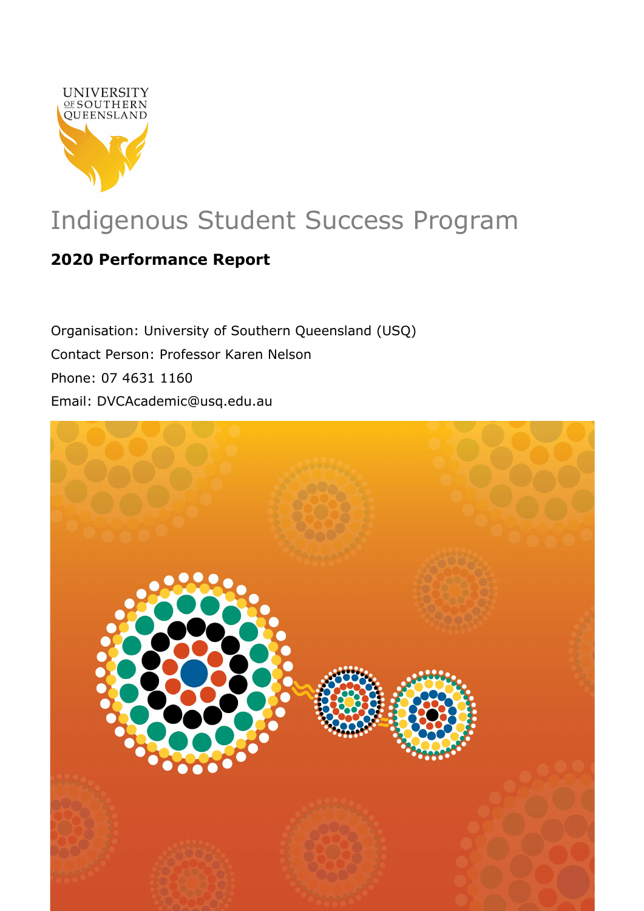

# Indigenous Student Success Program

# **2020 Performance Report**

Organisation: University of Southern Queensland (USQ) Contact Person: Professor Karen Nelson Phone: 07 4631 1160 Email: DVCAcademic@usq.edu.au

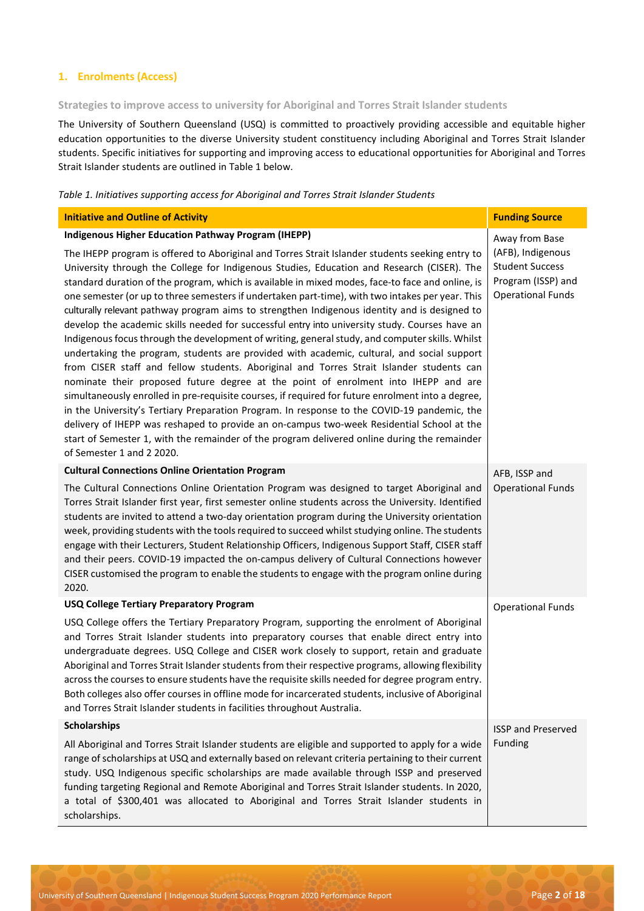# **1. Enrolments (Access)**

# **Strategies to improve access to university for Aboriginal and Torres Strait Islander students**

The University of Southern Queensland (USQ) is committed to proactively providing accessible and equitable higher education opportunities to the diverse University student constituency including Aboriginal and Torres Strait Islander students. Specific initiatives for supporting and improving access to educational opportunities for Aboriginal and Torres Strait Islander students are outlined in Table 1 below.

# *Table 1. Initiatives supporting access for Aboriginal and Torres Strait Islander Students*

| <b>Initiative and Outline of Activity</b>                                                                                                                                                                                                                                                                                                                                                                                                                                                                                                                                                                                                                                                                                                                                                                                                                                                                                                                                                                                                                                                                                                                                                                                                                                                                                                                                                                                 | <b>Funding Source</b>                                                                         |
|---------------------------------------------------------------------------------------------------------------------------------------------------------------------------------------------------------------------------------------------------------------------------------------------------------------------------------------------------------------------------------------------------------------------------------------------------------------------------------------------------------------------------------------------------------------------------------------------------------------------------------------------------------------------------------------------------------------------------------------------------------------------------------------------------------------------------------------------------------------------------------------------------------------------------------------------------------------------------------------------------------------------------------------------------------------------------------------------------------------------------------------------------------------------------------------------------------------------------------------------------------------------------------------------------------------------------------------------------------------------------------------------------------------------------|-----------------------------------------------------------------------------------------------|
| <b>Indigenous Higher Education Pathway Program (IHEPP)</b>                                                                                                                                                                                                                                                                                                                                                                                                                                                                                                                                                                                                                                                                                                                                                                                                                                                                                                                                                                                                                                                                                                                                                                                                                                                                                                                                                                | Away from Base                                                                                |
| The IHEPP program is offered to Aboriginal and Torres Strait Islander students seeking entry to<br>University through the College for Indigenous Studies, Education and Research (CISER). The<br>standard duration of the program, which is available in mixed modes, face-to face and online, is<br>one semester (or up to three semesters if undertaken part-time), with two intakes per year. This<br>culturally relevant pathway program aims to strengthen Indigenous identity and is designed to<br>develop the academic skills needed for successful entry into university study. Courses have an<br>Indigenous focus through the development of writing, general study, and computer skills. Whilst<br>undertaking the program, students are provided with academic, cultural, and social support<br>from CISER staff and fellow students. Aboriginal and Torres Strait Islander students can<br>nominate their proposed future degree at the point of enrolment into IHEPP and are<br>simultaneously enrolled in pre-requisite courses, if required for future enrolment into a degree,<br>in the University's Tertiary Preparation Program. In response to the COVID-19 pandemic, the<br>delivery of IHEPP was reshaped to provide an on-campus two-week Residential School at the<br>start of Semester 1, with the remainder of the program delivered online during the remainder<br>of Semester 1 and 2 2020. | (AFB), Indigenous<br><b>Student Success</b><br>Program (ISSP) and<br><b>Operational Funds</b> |
| <b>Cultural Connections Online Orientation Program</b><br>The Cultural Connections Online Orientation Program was designed to target Aboriginal and<br>Torres Strait Islander first year, first semester online students across the University. Identified<br>students are invited to attend a two-day orientation program during the University orientation<br>week, providing students with the tools required to succeed whilst studying online. The students<br>engage with their Lecturers, Student Relationship Officers, Indigenous Support Staff, CISER staff<br>and their peers. COVID-19 impacted the on-campus delivery of Cultural Connections however<br>CISER customised the program to enable the students to engage with the program online during<br>2020.                                                                                                                                                                                                                                                                                                                                                                                                                                                                                                                                                                                                                                               | AFB, ISSP and<br><b>Operational Funds</b>                                                     |
| <b>USQ College Tertiary Preparatory Program</b>                                                                                                                                                                                                                                                                                                                                                                                                                                                                                                                                                                                                                                                                                                                                                                                                                                                                                                                                                                                                                                                                                                                                                                                                                                                                                                                                                                           | <b>Operational Funds</b>                                                                      |
| USQ College offers the Tertiary Preparatory Program, supporting the enrolment of Aboriginal<br>and Torres Strait Islander students into preparatory courses that enable direct entry into<br>undergraduate degrees. USQ College and CISER work closely to support, retain and graduate<br>Aboriginal and Torres Strait Islander students from their respective programs, allowing flexibility<br>across the courses to ensure students have the requisite skills needed for degree program entry.<br>Both colleges also offer courses in offline mode for incarcerated students, inclusive of Aboriginal<br>and Torres Strait Islander students in facilities throughout Australia.                                                                                                                                                                                                                                                                                                                                                                                                                                                                                                                                                                                                                                                                                                                                       |                                                                                               |
| <b>Scholarships</b>                                                                                                                                                                                                                                                                                                                                                                                                                                                                                                                                                                                                                                                                                                                                                                                                                                                                                                                                                                                                                                                                                                                                                                                                                                                                                                                                                                                                       | <b>ISSP and Preserved</b>                                                                     |
| All Aboriginal and Torres Strait Islander students are eligible and supported to apply for a wide<br>range of scholarships at USQ and externally based on relevant criteria pertaining to their current<br>study. USQ Indigenous specific scholarships are made available through ISSP and preserved<br>funding targeting Regional and Remote Aboriginal and Torres Strait Islander students. In 2020,<br>a total of \$300,401 was allocated to Aboriginal and Torres Strait Islander students in<br>scholarships.                                                                                                                                                                                                                                                                                                                                                                                                                                                                                                                                                                                                                                                                                                                                                                                                                                                                                                        | Funding                                                                                       |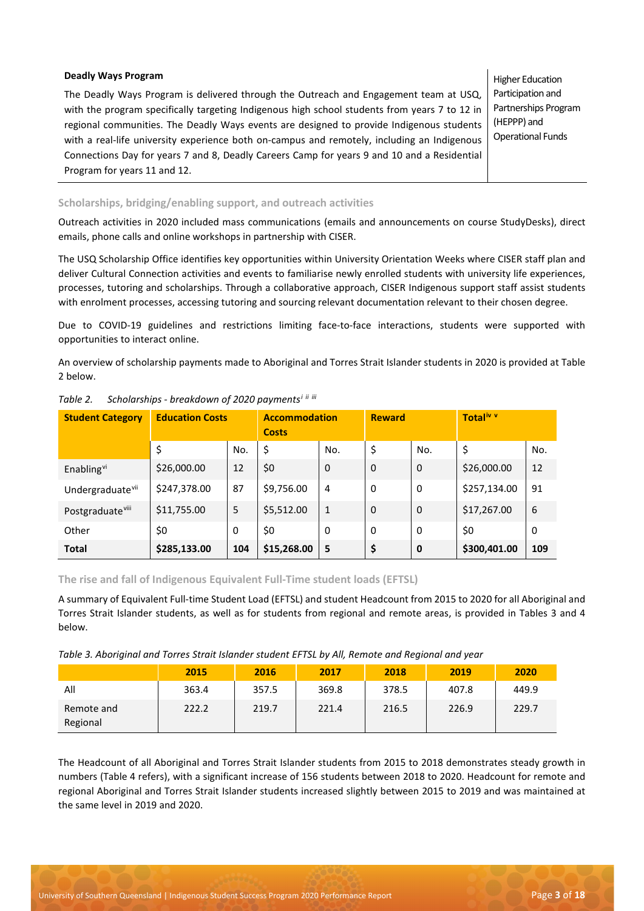#### **Deadly Ways Program**

The Deadly Ways Program is delivered through the Outreach and Engagement team at USQ, with the program specifically targeting Indigenous high school students from years 7 to 12 in regional communities. The Deadly Ways events are designed to provide Indigenous students with a real-life university experience both on-campus and remotely, including an Indigenous Connections Day for years 7 and 8, Deadly Careers Camp for years 9 and 10 and a Residential Program for years 11 and 12.

Higher Education Participation and Partnerships Program (HEPPP) and Operational Funds

#### **Scholarships, bridging/enabling support, and outreach activities**

Outreach activities in 2020 included mass communications (emails and announcements on course StudyDesks), direct emails, phone calls and online workshops in partnership with CISER.

The USQ Scholarship Office identifies key opportunities within University Orientation Weeks where CISER staff plan and deliver Cultural Connection activities and events to familiarise newly enrolled students with university life experiences, processes, tutoring and scholarships. Through a collaborative approach, CISER Indigenous support staff assist students with enrolment processes, accessing tutoring and sourcing relevant documentation relevant to their chosen degree.

Due to COVID-19 guidelines and restrictions limiting face-to-face interactions, students were supported with opportunities to interact online.

An overview of scholarship payments made to Aboriginal and Torres Strait Islander students in 2020 is provided at Table 2 below.

| <b>Student Category</b>      | <b>Education Costs</b> |     | <b>Accommodation</b><br><b>Costs</b> |              | <b>Reward</b> |             | Total <sup>iv v</sup> |     |
|------------------------------|------------------------|-----|--------------------------------------|--------------|---------------|-------------|-----------------------|-----|
|                              | \$                     | No. | \$                                   | No.          | \$            | No.         | \$                    | No. |
| Enabling <sup>vi</sup>       | \$26,000.00            | 12  | \$0                                  | 0            | 0             | 0           | \$26,000.00           | 12  |
| Undergraduate <sup>vii</sup> | \$247,378.00           | 87  | \$9,756.00                           | 4            | 0             | 0           | \$257,134.00          | 91  |
| Postgraduate <sup>viii</sup> | \$11,755.00            | 5   | \$5,512.00                           | $\mathbf{1}$ | $\Omega$      | $\Omega$    | \$17,267.00           | 6   |
| Other                        | \$0                    | 0   | \$0                                  | 0            | 0             | $\Omega$    | \$0                   | 0   |
| <b>Total</b>                 | \$285,133.00           | 104 | \$15,268.00                          | 5            | \$            | $\mathbf 0$ | \$300,401.00          | 109 |

*Table 2. Scholarships - breakdown of 2020 payments[i](#page-17-0) [ii](#page-17-1) [iii](#page-17-2)* 

#### **The rise and fall of Indigenous Equivalent Full-Time student loads (EFTSL)**

A summary of Equivalent Full-time Student Load (EFTSL) and student Headcount from 2015 to 2020 for all Aboriginal and Torres Strait Islander students, as well as for students from regional and remote areas, is provided in Tables 3 and 4 below.

*Table 3. Aboriginal and Torres Strait Islander student EFTSL by All, Remote and Regional and year* 

|                        | 2015  | 2016  | 2017  | 2018  | 2019  | 2020  |
|------------------------|-------|-------|-------|-------|-------|-------|
| All                    | 363.4 | 357.5 | 369.8 | 378.5 | 407.8 | 449.9 |
| Remote and<br>Regional | 222.2 | 219.7 | 221.4 | 216.5 | 226.9 | 229.7 |

The Headcount of all Aboriginal and Torres Strait Islander students from 2015 to 2018 demonstrates steady growth in numbers (Table 4 refers), with a significant increase of 156 students between 2018 to 2020. Headcount for remote and regional Aboriginal and Torres Strait Islander students increased slightly between 2015 to 2019 and was maintained at the same level in 2019 and 2020.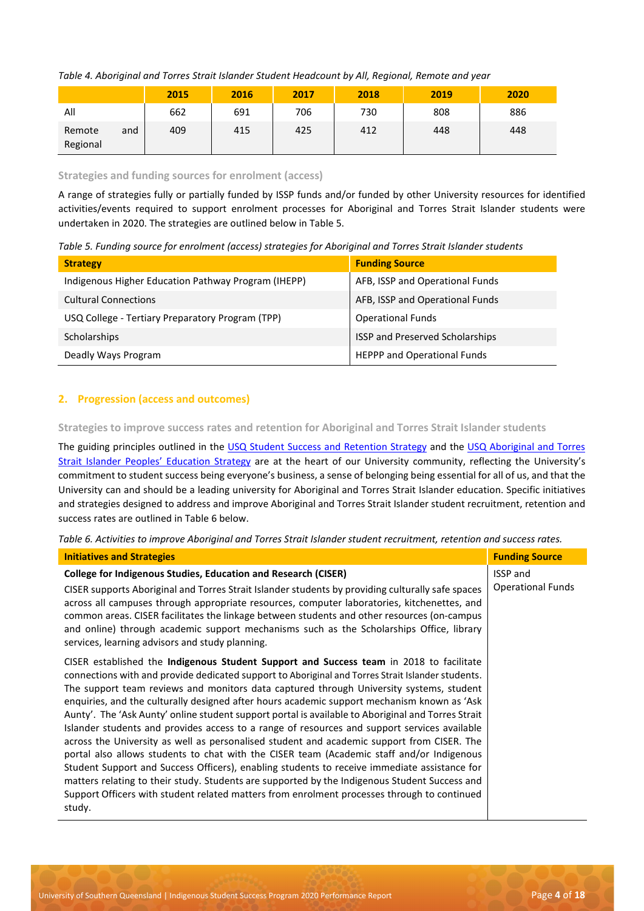*Table 4. Aboriginal and Torres Strait Islander Student Headcount by All, Regional, Remote and year*

|                    |     | 2015 | 2016 | 2017 | 2018 | 2019 | 2020 |
|--------------------|-----|------|------|------|------|------|------|
| All                |     | 662  | 691  | 706  | 730  | 808  | 886  |
| Remote<br>Regional | and | 409  | 415  | 425  | 412  | 448  | 448  |

#### **Strategies and funding sources for enrolment (access)**

A range of strategies fully or partially funded by ISSP funds and/or funded by other University resources for identified activities/events required to support enrolment processes for Aboriginal and Torres Strait Islander students were undertaken in 2020. The strategies are outlined below in Table 5.

*Table 5. Funding source for enrolment (access) strategies for Aboriginal and Torres Strait Islander students* 

| <b>Strategy</b>                                     | <b>Funding Source</b>              |
|-----------------------------------------------------|------------------------------------|
| Indigenous Higher Education Pathway Program (IHEPP) | AFB, ISSP and Operational Funds    |
| <b>Cultural Connections</b>                         | AFB, ISSP and Operational Funds    |
| USQ College - Tertiary Preparatory Program (TPP)    | <b>Operational Funds</b>           |
| Scholarships                                        | ISSP and Preserved Scholarships    |
| Deadly Ways Program                                 | <b>HEPPP and Operational Funds</b> |

# **2. Progression (access and outcomes)**

**Strategies to improve success rates and retention for Aboriginal and Torres Strait Islander students**

The guiding principles outlined in the [USQ Student Success and Retention Strategy](https://www.usq.edu.au/about-usq/governance-leadership/plans-reports) and the [USQ Aboriginal and Torres](https://www.usq.edu.au/about-usq/governance-leadership/plans-reports)  [Strait Islander Peoples' Education Strategy](https://www.usq.edu.au/about-usq/governance-leadership/plans-reports) are at the heart of our University community, reflecting the University's commitment to student success being everyone's business, a sense of belonging being essential for all of us, and that the University can and should be a leading university for Aboriginal and Torres Strait Islander education. Specific initiatives and strategies designed to address and improve Aboriginal and Torres Strait Islander student recruitment, retention and success rates are outlined in Table 6 below.

*Table 6. Activities to improve Aboriginal and Torres Strait Islander student recruitment, retention and success rates.*

| <b>Initiatives and Strategies</b>                                                                                                                                                                                                                                                                                                                                                                                                                                                                                                                                                                                                                                                                                                                                                                                                                                                                                                                                                                                                                                                                 | <b>Funding Source</b>                       |
|---------------------------------------------------------------------------------------------------------------------------------------------------------------------------------------------------------------------------------------------------------------------------------------------------------------------------------------------------------------------------------------------------------------------------------------------------------------------------------------------------------------------------------------------------------------------------------------------------------------------------------------------------------------------------------------------------------------------------------------------------------------------------------------------------------------------------------------------------------------------------------------------------------------------------------------------------------------------------------------------------------------------------------------------------------------------------------------------------|---------------------------------------------|
| <b>College for Indigenous Studies, Education and Research (CISER)</b><br>CISER supports Aboriginal and Torres Strait Islander students by providing culturally safe spaces<br>across all campuses through appropriate resources, computer laboratories, kitchenettes, and<br>common areas. CISER facilitates the linkage between students and other resources (on-campus<br>and online) through academic support mechanisms such as the Scholarships Office, library<br>services, learning advisors and study planning.                                                                                                                                                                                                                                                                                                                                                                                                                                                                                                                                                                           | <b>ISSP</b> and<br><b>Operational Funds</b> |
| CISER established the Indigenous Student Support and Success team in 2018 to facilitate<br>connections with and provide dedicated support to Aboriginal and Torres Strait Islander students.<br>The support team reviews and monitors data captured through University systems, student<br>enquiries, and the culturally designed after hours academic support mechanism known as 'Ask<br>Aunty'. The 'Ask Aunty' online student support portal is available to Aboriginal and Torres Strait<br>Islander students and provides access to a range of resources and support services available<br>across the University as well as personalised student and academic support from CISER. The<br>portal also allows students to chat with the CISER team (Academic staff and/or Indigenous<br>Student Support and Success Officers), enabling students to receive immediate assistance for<br>matters relating to their study. Students are supported by the Indigenous Student Success and<br>Support Officers with student related matters from enrolment processes through to continued<br>study. |                                             |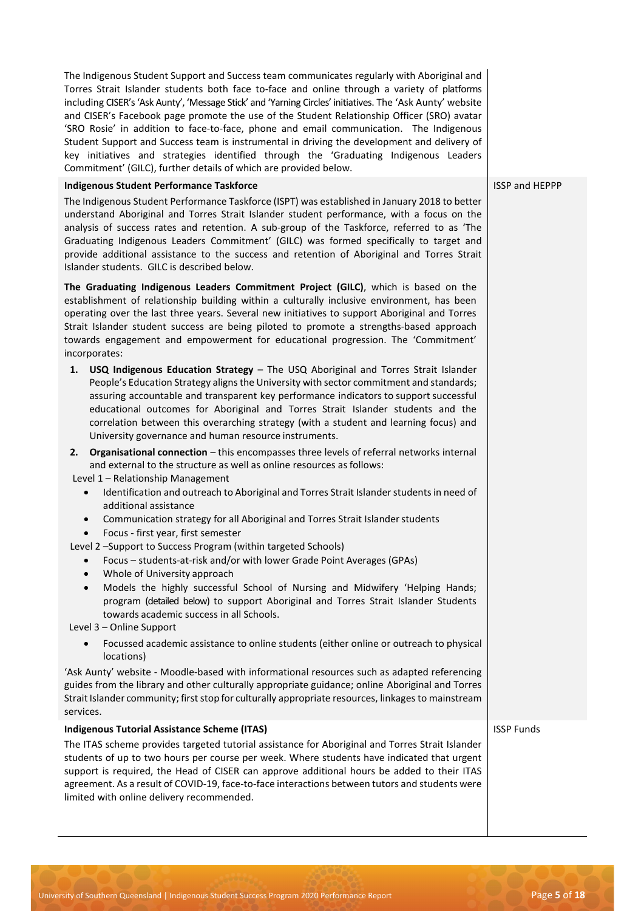The Indigenous Student Support and Success team communicates regularly with Aboriginal and Torres Strait Islander students both face to-face and online through a variety of platforms including CISER's 'Ask Aunty', 'Message Stick' and 'Yarning Circles' initiatives. The 'Ask Aunty' website and CISER's Facebook page promote the use of the Student Relationship Officer (SRO) avatar 'SRO Rosie' in addition to face-to-face, phone and email communication. The Indigenous Student Support and Success team is instrumental in driving the development and delivery of key initiatives and strategies identified through the 'Graduating Indigenous Leaders Commitment' (GILC), further details of which are provided below.

#### **Indigenous Student Performance Taskforce**

The Indigenous Student Performance Taskforce (ISPT) was established in January 2018 to better understand Aboriginal and Torres Strait Islander student performance, with a focus on the analysis of success rates and retention. A sub-group of the Taskforce, referred to as 'The Graduating Indigenous Leaders Commitment' (GILC) was formed specifically to target and provide additional assistance to the success and retention of Aboriginal and Torres Strait Islander students. GILC is described below.

**The Graduating Indigenous Leaders Commitment Project (GILC)**, which is based on the establishment of relationship building within a culturally inclusive environment, has been operating over the last three years. Several new initiatives to support Aboriginal and Torres Strait Islander student success are being piloted to promote a strengths-based approach towards engagement and empowerment for educational progression. The 'Commitment' incorporates:

**1. USQ Indigenous Education Strategy** – The USQ Aboriginal and Torres Strait Islander People's Education Strategy aligns the University with sector commitment and standards; assuring accountable and transparent key performance indicators to support successful educational outcomes for Aboriginal and Torres Strait Islander students and the correlation between this overarching strategy (with a student and learning focus) and University governance and human resource instruments.

**2. Organisational connection** – this encompasses three levels of referral networks internal and external to the structure as well as online resources asfollows:

Level 1 – Relationship Management

- Identification and outreach to Aboriginal and Torres Strait Islander students in need of additional assistance
- Communication strategy for all Aboriginal and Torres Strait Islanderstudents
- Focus first year, first semester
- Level 2 –Support to Success Program (within targeted Schools)
	- Focus students-at-risk and/or with lower Grade Point Averages (GPAs)
	- Whole of University approach
	- Models the highly successful School of Nursing and Midwifery 'Helping Hands; program (detailed below) to support Aboriginal and Torres Strait Islander Students towards academic success in all Schools.

Level 3 – Online Support

• Focussed academic assistance to online students (either online or outreach to physical locations)

'Ask Aunty' website - Moodle-based with informational resources such as adapted referencing guides from the library and other culturally appropriate guidance; online Aboriginal and Torres Strait Islander community; first stop for culturally appropriate resources, linkages to mainstream services.

# **Indigenous Tutorial Assistance Scheme (ITAS)**

The ITAS scheme provides targeted tutorial assistance for Aboriginal and Torres Strait Islander students of up to two hours per course per week. Where students have indicated that urgent support is required, the Head of CISER can approve additional hours be added to their ITAS agreement. As a result of COVID-19, face-to-face interactions between tutors and students were limited with online delivery recommended.

ISSP Funds

ISSP and HEPPP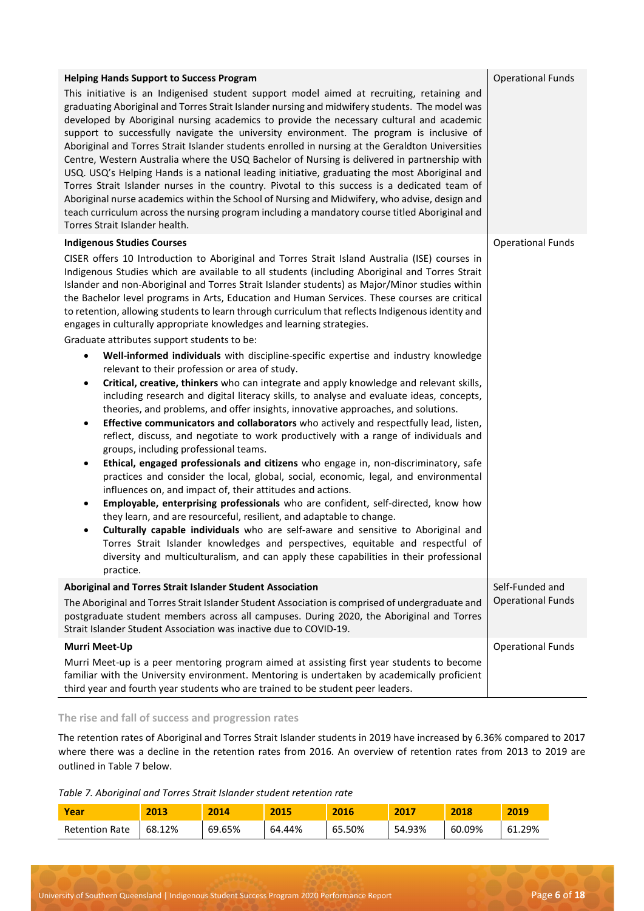| <b>Helping Hands Support to Success Program</b><br>This initiative is an Indigenised student support model aimed at recruiting, retaining and<br>graduating Aboriginal and Torres Strait Islander nursing and midwifery students. The model was<br>developed by Aboriginal nursing academics to provide the necessary cultural and academic<br>support to successfully navigate the university environment. The program is inclusive of<br>Aboriginal and Torres Strait Islander students enrolled in nursing at the Geraldton Universities<br>Centre, Western Australia where the USQ Bachelor of Nursing is delivered in partnership with<br>USQ. USQ's Helping Hands is a national leading initiative, graduating the most Aboriginal and<br>Torres Strait Islander nurses in the country. Pivotal to this success is a dedicated team of<br>Aboriginal nurse academics within the School of Nursing and Midwifery, who advise, design and<br>teach curriculum across the nursing program including a mandatory course titled Aboriginal and<br>Torres Strait Islander health.                                                                                                                                                                                                                                                                                                                                                                                                                                                                                                                                                                                                                                                                                                                                                                                                                                                                                                                                                                                                           | <b>Operational Funds</b>                    |
|---------------------------------------------------------------------------------------------------------------------------------------------------------------------------------------------------------------------------------------------------------------------------------------------------------------------------------------------------------------------------------------------------------------------------------------------------------------------------------------------------------------------------------------------------------------------------------------------------------------------------------------------------------------------------------------------------------------------------------------------------------------------------------------------------------------------------------------------------------------------------------------------------------------------------------------------------------------------------------------------------------------------------------------------------------------------------------------------------------------------------------------------------------------------------------------------------------------------------------------------------------------------------------------------------------------------------------------------------------------------------------------------------------------------------------------------------------------------------------------------------------------------------------------------------------------------------------------------------------------------------------------------------------------------------------------------------------------------------------------------------------------------------------------------------------------------------------------------------------------------------------------------------------------------------------------------------------------------------------------------------------------------------------------------------------------------------------------------|---------------------------------------------|
| <b>Indigenous Studies Courses</b><br>CISER offers 10 Introduction to Aboriginal and Torres Strait Island Australia (ISE) courses in<br>Indigenous Studies which are available to all students (including Aboriginal and Torres Strait<br>Islander and non-Aboriginal and Torres Strait Islander students) as Major/Minor studies within<br>the Bachelor level programs in Arts, Education and Human Services. These courses are critical<br>to retention, allowing students to learn through curriculum that reflects Indigenous identity and<br>engages in culturally appropriate knowledges and learning strategies.<br>Graduate attributes support students to be:<br>Well-informed individuals with discipline-specific expertise and industry knowledge<br>$\bullet$<br>relevant to their profession or area of study.<br>Critical, creative, thinkers who can integrate and apply knowledge and relevant skills,<br>$\bullet$<br>including research and digital literacy skills, to analyse and evaluate ideas, concepts,<br>theories, and problems, and offer insights, innovative approaches, and solutions.<br>Effective communicators and collaborators who actively and respectfully lead, listen,<br>$\bullet$<br>reflect, discuss, and negotiate to work productively with a range of individuals and<br>groups, including professional teams.<br>Ethical, engaged professionals and citizens who engage in, non-discriminatory, safe<br>$\bullet$<br>practices and consider the local, global, social, economic, legal, and environmental<br>influences on, and impact of, their attitudes and actions.<br>Employable, enterprising professionals who are confident, self-directed, know how<br>$\bullet$<br>they learn, and are resourceful, resilient, and adaptable to change.<br>Culturally capable individuals who are self-aware and sensitive to Aboriginal and<br>$\bullet$<br>Torres Strait Islander knowledges and perspectives, equitable and respectful of<br>diversity and multiculturalism, and can apply these capabilities in their professional<br>practice. | <b>Operational Funds</b>                    |
| Aboriginal and Torres Strait Islander Student Association<br>The Aboriginal and Torres Strait Islander Student Association is comprised of undergraduate and<br>postgraduate student members across all campuses. During 2020, the Aboriginal and Torres<br>Strait Islander Student Association was inactive due to COVID-19.                                                                                                                                                                                                                                                                                                                                                                                                                                                                                                                                                                                                                                                                                                                                                                                                                                                                                                                                                                                                                                                                                                                                                                                                                                                                                                                                                                                                                                                                                                                                                                                                                                                                                                                                                               | Self-Funded and<br><b>Operational Funds</b> |
| <b>Murri Meet-Up</b><br>Murri Meet-up is a peer mentoring program aimed at assisting first year students to become<br>familiar with the University environment. Mentoring is undertaken by academically proficient<br>third year and fourth year students who are trained to be student peer leaders.                                                                                                                                                                                                                                                                                                                                                                                                                                                                                                                                                                                                                                                                                                                                                                                                                                                                                                                                                                                                                                                                                                                                                                                                                                                                                                                                                                                                                                                                                                                                                                                                                                                                                                                                                                                       | <b>Operational Funds</b>                    |

# **The rise and fall of success and progression rates**

The retention rates of Aboriginal and Torres Strait Islander students in 2019 have increased by 6.36% compared to 2017 where there was a decline in the retention rates from 2016. An overview of retention rates from 2013 to 2019 are outlined in Table 7 below.

*Table 7. Aboriginal and Torres Strait Islander student retention rate* 

| Year                  | 2013   | 2014   | 2015   | 2016   | 2017   | 2018   | 2019   |
|-----------------------|--------|--------|--------|--------|--------|--------|--------|
| <b>Retention Rate</b> | 68.12% | 69.65% | 64.44% | 65.50% | 54.93% | 60.09% | 61.29% |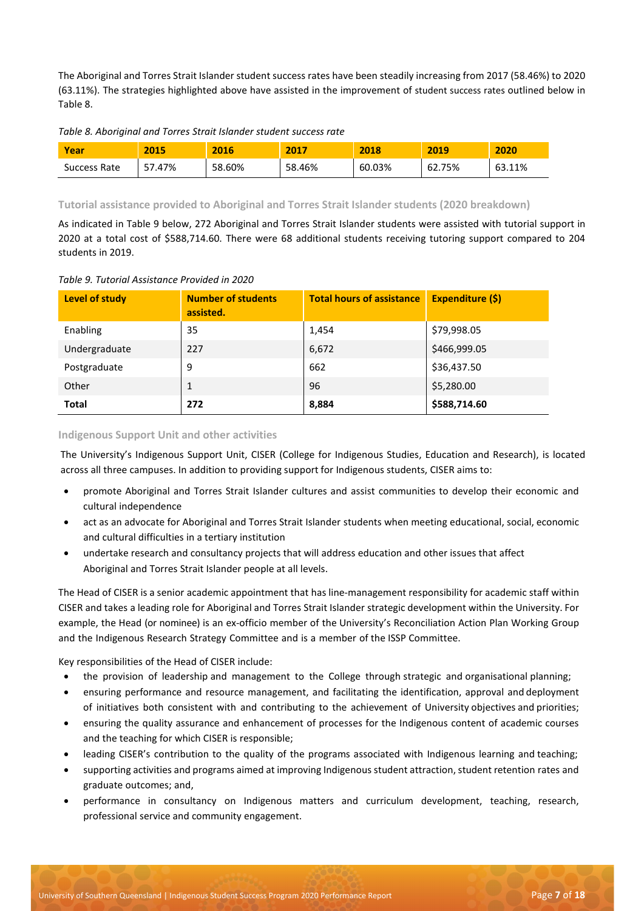The Aboriginal and Torres Strait Islander student success rates have been steadily increasing from 2017 (58.46%) to 2020 (63.11%). The strategies highlighted above have assisted in the improvement of student success rates outlined below in Table 8.

*Table 8. Aboriginal and Torres Strait Islander student success rate* 

| Year         | 2015   | 2016   | 2017   | 2018   | 2019   | 2020   |
|--------------|--------|--------|--------|--------|--------|--------|
| Success Rate | 7.47%د | 58.60% | 58.46% | 60.03% | 62.75% | 63.11% |

**Tutorial assistance provided to Aboriginal and Torres Strait Islander students (2020 breakdown)**

As indicated in Table 9 below, 272 Aboriginal and Torres Strait Islander students were assisted with tutorial support in 2020 at a total cost of \$588,714.60. There were 68 additional students receiving tutoring support compared to 204 students in 2019.

*Table 9. Tutorial Assistance Provided in 2020*

| <b>Level of study</b> | <b>Number of students</b><br>assisted. | <b>Total hours of assistance</b> | Expenditure (\$) |
|-----------------------|----------------------------------------|----------------------------------|------------------|
| Enabling              | 35                                     | 1,454                            | \$79,998.05      |
| Undergraduate         | 227                                    | 6,672                            | \$466,999.05     |
| Postgraduate          | 9                                      | 662                              | \$36,437.50      |
| Other                 |                                        | 96                               | \$5,280.00       |
| <b>Total</b>          | 272                                    | 8,884                            | \$588,714.60     |

#### **Indigenous Support Unit and other activities**

The University's Indigenous Support Unit, CISER (College for Indigenous Studies, Education and Research), is located across all three campuses. In addition to providing support for Indigenous students, CISER aims to:

- promote Aboriginal and Torres Strait Islander cultures and assist communities to develop their economic and cultural independence
- act as an advocate for Aboriginal and Torres Strait Islander students when meeting educational, social, economic and cultural difficulties in a tertiary institution
- undertake research and consultancy projects that will address education and other issues that affect Aboriginal and Torres Strait Islander people at all levels.

The Head of CISER is a senior academic appointment that has line-management responsibility for academic staff within CISER and takes a leading role for Aboriginal and Torres Strait Islander strategic development within the University. For example, the Head (or nominee) is an ex-officio member of the University's Reconciliation Action Plan Working Group and the Indigenous Research Strategy Committee and is a member of the ISSP Committee.

Key responsibilities of the Head of CISER include:

- the provision of leadership and management to the College through strategic and organisational planning;
- ensuring performance and resource management, and facilitating the identification, approval and deployment of initiatives both consistent with and contributing to the achievement of University objectives and priorities;
- ensuring the quality assurance and enhancement of processes for the Indigenous content of academic courses and the teaching for which CISER is responsible;
- leading CISER's contribution to the quality of the programs associated with Indigenous learning and teaching;
- supporting activities and programs aimed at improving Indigenous student attraction, student retention rates and graduate outcomes; and,
- performance in consultancy on Indigenous matters and curriculum development, teaching, research, professional service and community engagement.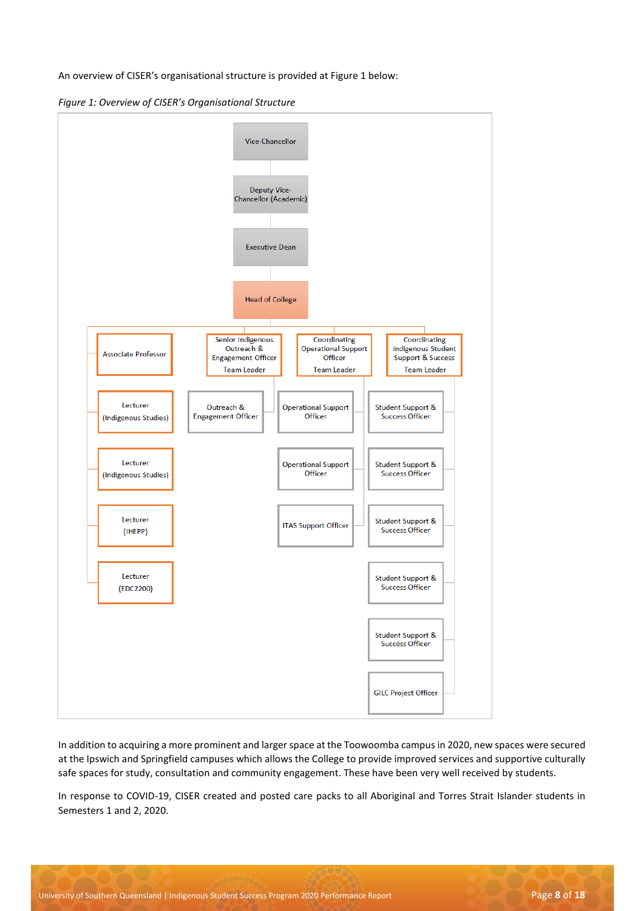An overview of CISER's organisational structure is provided at Figure 1 below:

*Figure 1: Overview of CISER's Organisational Structure*



In addition to acquiring a more prominent and larger space at the Toowoomba campus in 2020, new spaces were secured at the Ipswich and Springfield campuses which allows the College to provide improved services and supportive culturally safe spaces for study, consultation and community engagement. These have been very well received by students.

In response to COVID-19, CISER created and posted care packs to all Aboriginal and Torres Strait Islander students in Semesters 1 and 2, 2020.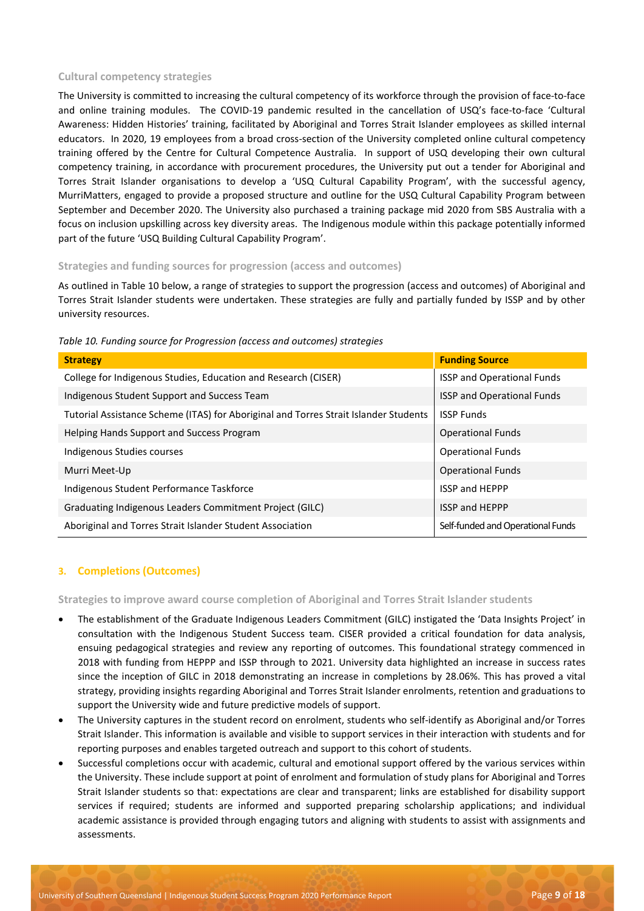# **Cultural competency strategies**

The University is committed to increasing the cultural competency of its workforce through the provision of face-to-face and online training modules. The COVID-19 pandemic resulted in the cancellation of USQ's face-to-face 'Cultural Awareness: Hidden Histories' training, facilitated by Aboriginal and Torres Strait Islander employees as skilled internal educators. In 2020, 19 employees from a broad cross-section of the University completed online cultural competency training offered by the Centre for Cultural Competence Australia. In support of USQ developing their own cultural competency training, in accordance with procurement procedures, the University put out a tender for Aboriginal and Torres Strait Islander organisations to develop a 'USQ Cultural Capability Program', with the successful agency, MurriMatters, engaged to provide a proposed structure and outline for the USQ Cultural Capability Program between September and December 2020. The University also purchased a training package mid 2020 from SBS Australia with a focus on inclusion upskilling across key diversity areas. The Indigenous module within this package potentially informed part of the future 'USQ Building Cultural Capability Program'.

#### **Strategies and funding sources for progression (access and outcomes)**

As outlined in Table 10 below, a range of strategies to support the progression (access and outcomes) of Aboriginal and Torres Strait Islander students were undertaken. These strategies are fully and partially funded by ISSP and by other university resources.

| able 10. Fanally source for Frogression (access and outcomes) strutegies             |                                   |
|--------------------------------------------------------------------------------------|-----------------------------------|
| <b>Strategy</b>                                                                      | <b>Funding Source</b>             |
| College for Indigenous Studies, Education and Research (CISER)                       | <b>ISSP and Operational Funds</b> |
| Indigenous Student Support and Success Team                                          | <b>ISSP and Operational Funds</b> |
| Tutorial Assistance Scheme (ITAS) for Aboriginal and Torres Strait Islander Students | <b>ISSP Funds</b>                 |
| Helping Hands Support and Success Program                                            | <b>Operational Funds</b>          |
| Indigenous Studies courses                                                           | <b>Operational Funds</b>          |
| Murri Meet-Up                                                                        | <b>Operational Funds</b>          |
| Indigenous Student Performance Taskforce                                             | <b>ISSP and HEPPP</b>             |
| Graduating Indigenous Leaders Commitment Project (GILC)                              | <b>ISSP and HEPPP</b>             |
| Aboriginal and Torres Strait Islander Student Association                            | Self-funded and Operational Funds |

*Table 10. Funding source for Progression (access and outcomes) strategies* 

# **3. Completions (Outcomes)**

**Strategies to improve award course completion of Aboriginal and Torres Strait Islander students**

- The establishment of the Graduate Indigenous Leaders Commitment (GILC) instigated the 'Data Insights Project' in consultation with the Indigenous Student Success team. CISER provided a critical foundation for data analysis, ensuing pedagogical strategies and review any reporting of outcomes. This foundational strategy commenced in 2018 with funding from HEPPP and ISSP through to 2021. University data highlighted an increase in success rates since the inception of GILC in 2018 demonstrating an increase in completions by 28.06%. This has proved a vital strategy, providing insights regarding Aboriginal and Torres Strait Islander enrolments, retention and graduations to support the University wide and future predictive models of support.
- The University captures in the student record on enrolment, students who self-identify as Aboriginal and/or Torres Strait Islander. This information is available and visible to support services in their interaction with students and for reporting purposes and enables targeted outreach and support to this cohort of students.
- Successful completions occur with academic, cultural and emotional support offered by the various services within the University. These include support at point of enrolment and formulation of study plans for Aboriginal and Torres Strait Islander students so that: expectations are clear and transparent; links are established for disability support services if required; students are informed and supported preparing scholarship applications; and individual academic assistance is provided through engaging tutors and aligning with students to assist with assignments and assessments.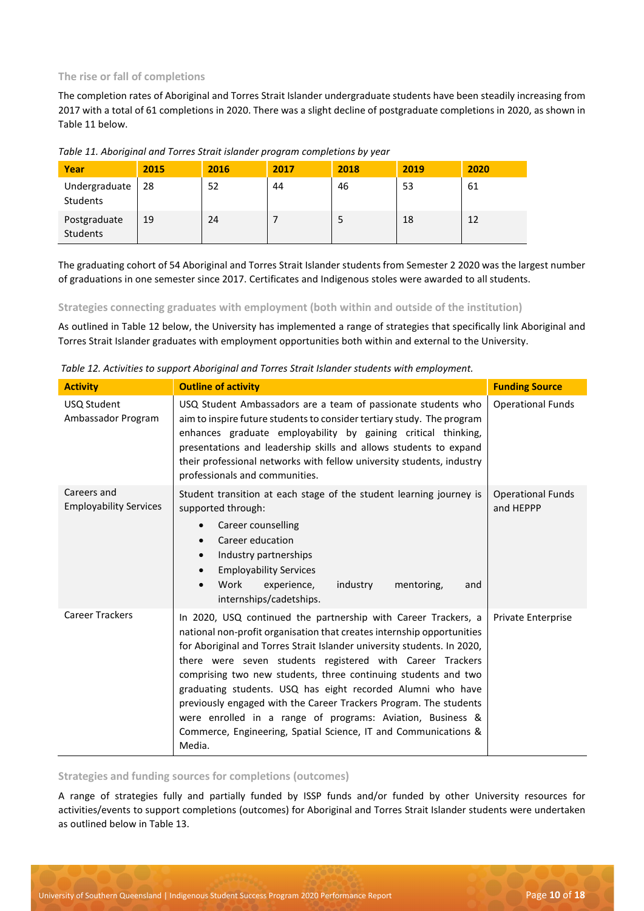# **The rise or fall of completions**

The completion rates of Aboriginal and Torres Strait Islander undergraduate students have been steadily increasing from 2017 with a total of 61 completions in 2020. There was a slight decline of postgraduate completions in 2020, as shown in Table 11 below.

| Year                      | 2015 | 2016 | 2017 | 2018 | 2019 | 2020 |
|---------------------------|------|------|------|------|------|------|
| Undergraduate<br>Students | 28   | 52   | 44   | 46   | 53   | 61   |
| Postgraduate<br>Students  | 19   | 24   |      |      | 18   | 12   |

# *Table 11. Aboriginal and Torres Strait islander program completions by year*

The graduating cohort of 54 Aboriginal and Torres Strait Islander students from Semester 2 2020 was the largest number of graduations in one semester since 2017. Certificates and Indigenous stoles were awarded to all students.

#### **Strategies connecting graduates with employment (both within and outside of the institution)**

As outlined in Table 12 below, the University has implemented a range of strategies that specifically link Aboriginal and Torres Strait Islander graduates with employment opportunities both within and external to the University.

| Table 12. Activities to support Aboriginal and Torres Strait Islander students with employment. |  |  |
|-------------------------------------------------------------------------------------------------|--|--|
|                                                                                                 |  |  |

| <b>Activity</b>                              | <b>Outline of activity</b>                                                                                                                                                                                                                                                                                                                                                                                                                                                                                                                                                                                                        | <b>Funding Source</b>                 |
|----------------------------------------------|-----------------------------------------------------------------------------------------------------------------------------------------------------------------------------------------------------------------------------------------------------------------------------------------------------------------------------------------------------------------------------------------------------------------------------------------------------------------------------------------------------------------------------------------------------------------------------------------------------------------------------------|---------------------------------------|
| USQ Student<br>Ambassador Program            | USQ Student Ambassadors are a team of passionate students who<br>aim to inspire future students to consider tertiary study. The program<br>enhances graduate employability by gaining critical thinking,<br>presentations and leadership skills and allows students to expand<br>their professional networks with fellow university students, industry<br>professionals and communities.                                                                                                                                                                                                                                          | <b>Operational Funds</b>              |
| Careers and<br><b>Employability Services</b> | Student transition at each stage of the student learning journey is<br>supported through:<br>Career counselling<br>$\bullet$<br>Career education<br>$\bullet$<br>Industry partnerships<br>$\bullet$<br><b>Employability Services</b><br>$\bullet$<br>Work<br>experience,<br>industry<br>mentoring,<br>and<br>$\bullet$<br>internships/cadetships.                                                                                                                                                                                                                                                                                 | <b>Operational Funds</b><br>and HEPPP |
| <b>Career Trackers</b>                       | In 2020, USQ continued the partnership with Career Trackers, a<br>national non-profit organisation that creates internship opportunities<br>for Aboriginal and Torres Strait Islander university students. In 2020,<br>there were seven students registered with Career Trackers<br>comprising two new students, three continuing students and two<br>graduating students. USQ has eight recorded Alumni who have<br>previously engaged with the Career Trackers Program. The students<br>were enrolled in a range of programs: Aviation, Business &<br>Commerce, Engineering, Spatial Science, IT and Communications &<br>Media. | Private Enterprise                    |

**Strategies and funding sources for completions (outcomes)**

A range of strategies fully and partially funded by ISSP funds and/or funded by other University resources for activities/events to support completions (outcomes) for Aboriginal and Torres Strait Islander students were undertaken as outlined below in Table 13.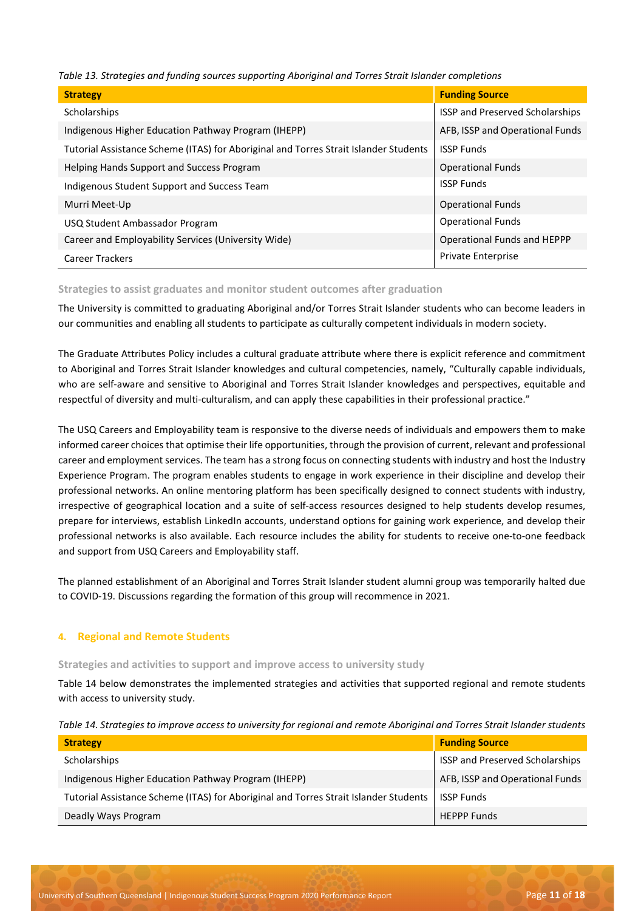*Table 13. Strategies and funding sources supporting Aboriginal and Torres Strait Islander completions* 

| <b>Strategy</b>                                                                      | <b>Funding Source</b>                  |
|--------------------------------------------------------------------------------------|----------------------------------------|
| Scholarships                                                                         | <b>ISSP and Preserved Scholarships</b> |
| Indigenous Higher Education Pathway Program (IHEPP)                                  | AFB, ISSP and Operational Funds        |
| Tutorial Assistance Scheme (ITAS) for Aboriginal and Torres Strait Islander Students | <b>ISSP Funds</b>                      |
| Helping Hands Support and Success Program                                            | <b>Operational Funds</b>               |
| Indigenous Student Support and Success Team                                          | <b>ISSP Funds</b>                      |
| Murri Meet-Up                                                                        | <b>Operational Funds</b>               |
| USQ Student Ambassador Program                                                       | <b>Operational Funds</b>               |
| Career and Employability Services (University Wide)                                  | Operational Funds and HEPPP            |
| <b>Career Trackers</b>                                                               | <b>Private Enterprise</b>              |

#### **Strategies to assist graduates and monitor student outcomes after graduation**

The University is committed to graduating Aboriginal and/or Torres Strait Islander students who can become leaders in our communities and enabling all students to participate as culturally competent individuals in modern society.

The Graduate Attributes Policy includes a cultural graduate attribute where there is explicit reference and commitment to Aboriginal and Torres Strait Islander knowledges and cultural competencies, namely, "Culturally capable individuals, who are self-aware and sensitive to Aboriginal and Torres Strait Islander knowledges and perspectives, equitable and respectful of diversity and multi-culturalism, and can apply these capabilities in their professional practice."

The USQ Careers and Employability team is responsive to the diverse needs of individuals and empowers them to make informed career choices that optimise their life opportunities, through the provision of current, relevant and professional career and employment services. The team has a strong focus on connecting students with industry and host the Industry Experience Program. The program enables students to engage in work experience in their discipline and develop their professional networks. An online mentoring platform has been specifically designed to connect students with industry, irrespective of geographical location and a suite of self-access resources designed to help students develop resumes, prepare for interviews, establish LinkedIn accounts, understand options for gaining work experience, and develop their professional networks is also available. Each resource includes the ability for students to receive one-to-one feedback and support from USQ Careers and Employability staff.

The planned establishment of an Aboriginal and Torres Strait Islander student alumni group was temporarily halted due to COVID-19. Discussions regarding the formation of this group will recommence in 2021.

# **4. Regional and Remote Students**

#### **Strategies and activities to support and improve access to university study**

Table 14 below demonstrates the implemented strategies and activities that supported regional and remote students with access to university study.

| Table 14. Strategies to improve access to university for regional and remote Aboriginal and Torres Strait Islander students |  |  |  |
|-----------------------------------------------------------------------------------------------------------------------------|--|--|--|
|                                                                                                                             |  |  |  |

| <b>Strategy</b>                                                                      | <b>Funding Source</b>           |
|--------------------------------------------------------------------------------------|---------------------------------|
| <b>Scholarships</b>                                                                  | ISSP and Preserved Scholarships |
| Indigenous Higher Education Pathway Program (IHEPP)                                  | AFB, ISSP and Operational Funds |
| Tutorial Assistance Scheme (ITAS) for Aboriginal and Torres Strait Islander Students | <b>ISSP Funds</b>               |
| Deadly Ways Program                                                                  | <b>HEPPP Funds</b>              |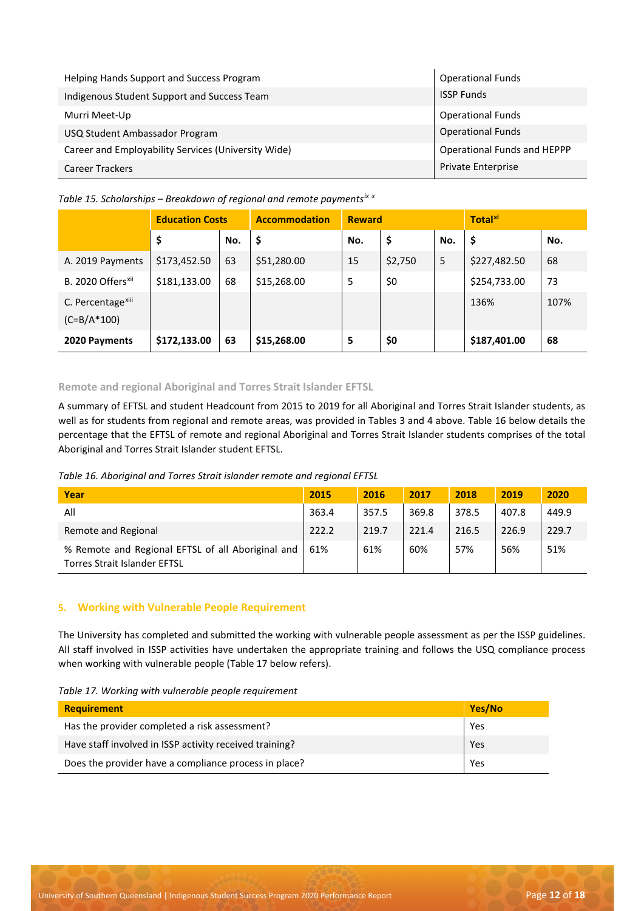| Helping Hands Support and Success Program           | <b>Operational Funds</b>    |
|-----------------------------------------------------|-----------------------------|
| Indigenous Student Support and Success Team         | <b>ISSP Funds</b>           |
| Murri Meet-Up                                       | <b>Operational Funds</b>    |
| USQ Student Ambassador Program                      | <b>Operational Funds</b>    |
| Career and Employability Services (University Wide) | Operational Funds and HEPPP |
| <b>Career Trackers</b>                              | <b>Private Enterprise</b>   |

*Table 15. Scholarships – Breakdown of regional and remote payments[ix](#page-17-8) [x](#page-17-9)*

|                                                    | <b>Education Costs</b> |     | <b>Accommodation</b> | <b>Reward</b> |         |     | Total <sup>xi</sup> |      |
|----------------------------------------------------|------------------------|-----|----------------------|---------------|---------|-----|---------------------|------|
|                                                    | \$                     | No. | \$                   | No.           | \$      | No. | \$                  | No.  |
| A. 2019 Payments                                   | \$173,452.50           | 63  | \$51,280.00          | 15            | \$2,750 | 5   | \$227,482.50        | 68   |
| B. 2020 Offers <sup>xii</sup>                      | \$181,133.00           | 68  | \$15,268.00          | 5             | \$0     |     | \$254,733.00        | 73   |
| C. Percentage <sup>xiii</sup><br>$(C = B/A * 100)$ |                        |     |                      |               |         |     | 136%                | 107% |
| 2020 Payments                                      | \$172,133.00           | 63  | \$15,268.00          | 5             | \$0     |     | \$187,401.00        | 68   |

# **Remote and regional Aboriginal and Torres Strait Islander EFTSL**

A summary of EFTSL and student Headcount from 2015 to 2019 for all Aboriginal and Torres Strait Islander students, as well as for students from regional and remote areas, was provided in Tables 3 and 4 above. Table 16 below details the percentage that the EFTSL of remote and regional Aboriginal and Torres Strait Islander students comprises of the total Aboriginal and Torres Strait Islander student EFTSL.

*Table 16. Aboriginal and Torres Strait islander remote and regional EFTSL* 

| Year                                                                                     | 2015  | 2016  | 2017  | 2018  | 2019  | 2020  |
|------------------------------------------------------------------------------------------|-------|-------|-------|-------|-------|-------|
| All                                                                                      | 363.4 | 357.5 | 369.8 | 378.5 | 407.8 | 449.9 |
| Remote and Regional                                                                      | 222.2 | 219.7 | 221.4 | 216.5 | 226.9 | 229.7 |
| % Remote and Regional EFTSL of all Aboriginal and<br><b>Torres Strait Islander EFTSL</b> | 61%   | 61%   | 60%   | 57%   | 56%   | 51%   |

# **5. Working with Vulnerable People Requirement**

The University has completed and submitted the working with vulnerable people assessment as per the ISSP guidelines. All staff involved in ISSP activities have undertaken the appropriate training and follows the USQ compliance process when working with vulnerable people (Table 17 below refers).

*Table 17. Working with vulnerable people requirement* 

| <b>Requirement</b>                                      | Yes/No |
|---------------------------------------------------------|--------|
| Has the provider completed a risk assessment?           | Yes    |
| Have staff involved in ISSP activity received training? | Yes    |
| Does the provider have a compliance process in place?   | Yes    |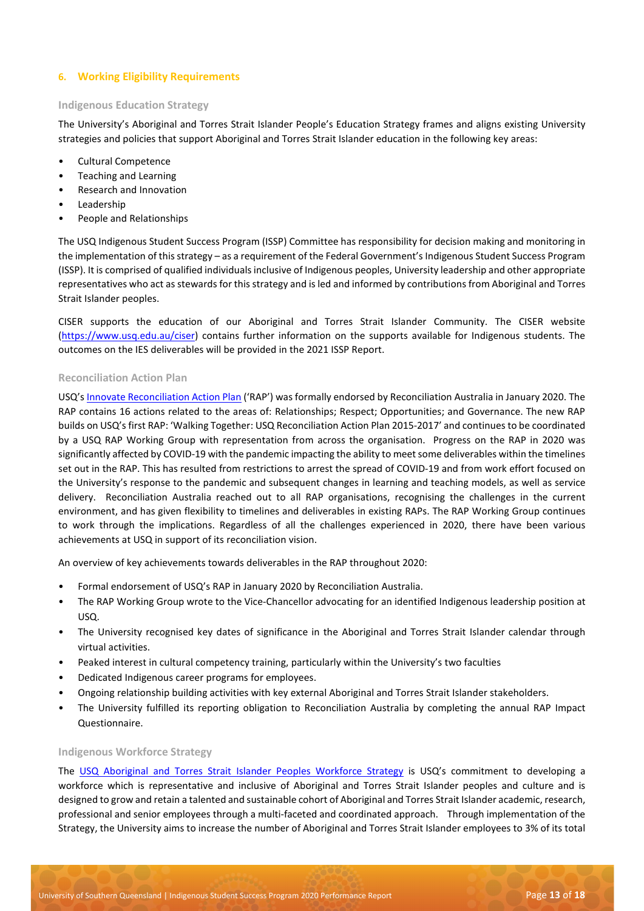# **6. Working Eligibility Requirements**

# **Indigenous Education Strategy**

The University's Aboriginal and Torres Strait Islander People's Education Strategy frames and aligns existing University strategies and policies that support Aboriginal and Torres Strait Islander education in the following key areas:

- Cultural Competence
- Teaching and Learning
- Research and Innovation
- Leadership
- People and Relationships

The USQ Indigenous Student Success Program (ISSP) Committee has responsibility for decision making and monitoring in the implementation of this strategy – as a requirement of the Federal Government's Indigenous Student Success Program (ISSP). It is comprised of qualified individuals inclusive of Indigenous peoples, University leadership and other appropriate representatives who act as stewards for this strategy and is led and informed by contributions from Aboriginal and Torres Strait Islander peoples.

CISER supports the education of our Aboriginal and Torres Strait Islander Community. The CISER website [\(https://www.usq.edu.au/ciser\)](https://www.usq.edu.au/ciser) contains further information on the supports available for Indigenous students. The outcomes on the IES deliverables will be provided in the 2021 ISSP Report.

#### **Reconciliation Action Plan**

USQ'[s Innovate Reconciliation Action Plan](https://www.usq.edu.au/-/media/usq/about-usq/governance-and-leadership/plans-and-reports/usq-rap-2019-2021.ashx?la=en&hash=4B0B9CD12D6F5C2C1DF396EA457E11B7) ('RAP') was formally endorsed by Reconciliation Australia in January 2020. The RAP contains 16 actions related to the areas of: Relationships; Respect; Opportunities; and Governance. The new RAP builds on USQ's first RAP: 'Walking Together: USQ Reconciliation Action Plan 2015-2017' and continues to be coordinated by a USQ RAP Working Group with representation from across the organisation. Progress on the RAP in 2020 was significantly affected by COVID-19 with the pandemic impacting the ability to meet some deliverables within the timelines set out in the RAP. This has resulted from restrictions to arrest the spread of COVID-19 and from work effort focused on the University's response to the pandemic and subsequent changes in learning and teaching models, as well as service delivery. Reconciliation Australia reached out to all RAP organisations, recognising the challenges in the current environment, and has given flexibility to timelines and deliverables in existing RAPs. The RAP Working Group continues to work through the implications. Regardless of all the challenges experienced in 2020, there have been various achievements at USQ in support of its reconciliation vision.

An overview of key achievements towards deliverables in the RAP throughout 2020:

- Formal endorsement of USQ's RAP in January 2020 by Reconciliation Australia.
- The RAP Working Group wrote to the Vice-Chancellor advocating for an identified Indigenous leadership position at USQ.
- The University recognised key dates of significance in the Aboriginal and Torres Strait Islander calendar through virtual activities.
- Peaked interest in cultural competency training, particularly within the University's two faculties
- Dedicated Indigenous career programs for employees.
- Ongoing relationship building activities with key external Aboriginal and Torres Strait Islander stakeholders.
- The University fulfilled its reporting obligation to Reconciliation Australia by completing the annual RAP Impact Questionnaire.

#### **Indigenous Workforce Strategy**

The [USQ Aboriginal and Torres Strait Islander Peoples Workforce Strategy](https://www.usq.edu.au/about-usq/governance-leadership/plans-reports) is USQ's commitment to developing a workforce which is representative and inclusive of Aboriginal and Torres Strait Islander peoples and culture and is designed to grow and retain a talented and sustainable cohort of Aboriginal and Torres Strait Islander academic, research, professional and senior employees through a multi-faceted and coordinated approach. Through implementation of the Strategy, the University aims to increase the number of Aboriginal and Torres Strait Islander employees to 3% of its total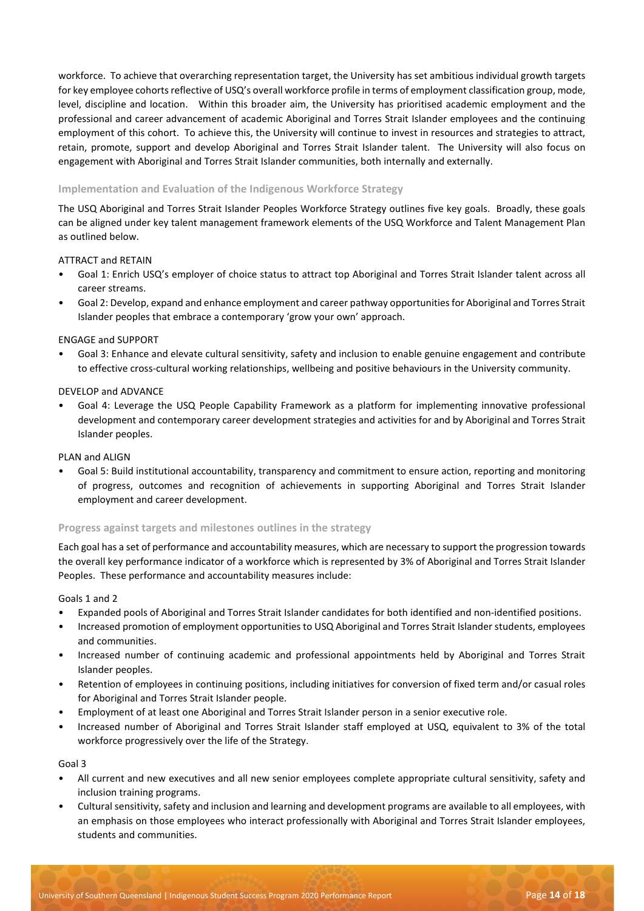workforce. To achieve that overarching representation target, the University has set ambitious individual growth targets for key employee cohorts reflective of USQ's overall workforce profile in terms of employment classification group, mode, level, discipline and location. Within this broader aim, the University has prioritised academic employment and the professional and career advancement of academic Aboriginal and Torres Strait Islander employees and the continuing employment of this cohort. To achieve this, the University will continue to invest in resources and strategies to attract, retain, promote, support and develop Aboriginal and Torres Strait Islander talent. The University will also focus on engagement with Aboriginal and Torres Strait Islander communities, both internally and externally.

# **Implementation and Evaluation of the Indigenous Workforce Strategy**

The USQ Aboriginal and Torres Strait Islander Peoples Workforce Strategy outlines five key goals. Broadly, these goals can be aligned under key talent management framework elements of the USQ Workforce and Talent Management Plan as outlined below.

# ATTRACT and RETAIN

- Goal 1: Enrich USQ's employer of choice status to attract top Aboriginal and Torres Strait Islander talent across all career streams.
- Goal 2: Develop, expand and enhance employment and career pathway opportunities for Aboriginal and Torres Strait Islander peoples that embrace a contemporary 'grow your own' approach.

#### ENGAGE and SUPPORT

• Goal 3: Enhance and elevate cultural sensitivity, safety and inclusion to enable genuine engagement and contribute to effective cross-cultural working relationships, wellbeing and positive behaviours in the University community.

#### DEVELOP and ADVANCE

• Goal 4: Leverage the USQ People Capability Framework as a platform for implementing innovative professional development and contemporary career development strategies and activities for and by Aboriginal and Torres Strait Islander peoples.

#### PLAN and ALIGN

• Goal 5: Build institutional accountability, transparency and commitment to ensure action, reporting and monitoring of progress, outcomes and recognition of achievements in supporting Aboriginal and Torres Strait Islander employment and career development.

#### **Progress against targets and milestones outlines in the strategy**

Each goal has a set of performance and accountability measures, which are necessary to support the progression towards the overall key performance indicator of a workforce which is represented by 3% of Aboriginal and Torres Strait Islander Peoples. These performance and accountability measures include:

#### Goals 1 and 2

- Expanded pools of Aboriginal and Torres Strait Islander candidates for both identified and non-identified positions.
- Increased promotion of employment opportunities to USQ Aboriginal and Torres Strait Islander students, employees and communities.
- Increased number of continuing academic and professional appointments held by Aboriginal and Torres Strait Islander peoples.
- Retention of employees in continuing positions, including initiatives for conversion of fixed term and/or casual roles for Aboriginal and Torres Strait Islander people.
- Employment of at least one Aboriginal and Torres Strait Islander person in a senior executive role.
- Increased number of Aboriginal and Torres Strait Islander staff employed at USQ, equivalent to 3% of the total workforce progressively over the life of the Strategy.

#### Goal 3

- All current and new executives and all new senior employees complete appropriate cultural sensitivity, safety and inclusion training programs.
- Cultural sensitivity, safety and inclusion and learning and development programs are available to all employees, with an emphasis on those employees who interact professionally with Aboriginal and Torres Strait Islander employees, students and communities.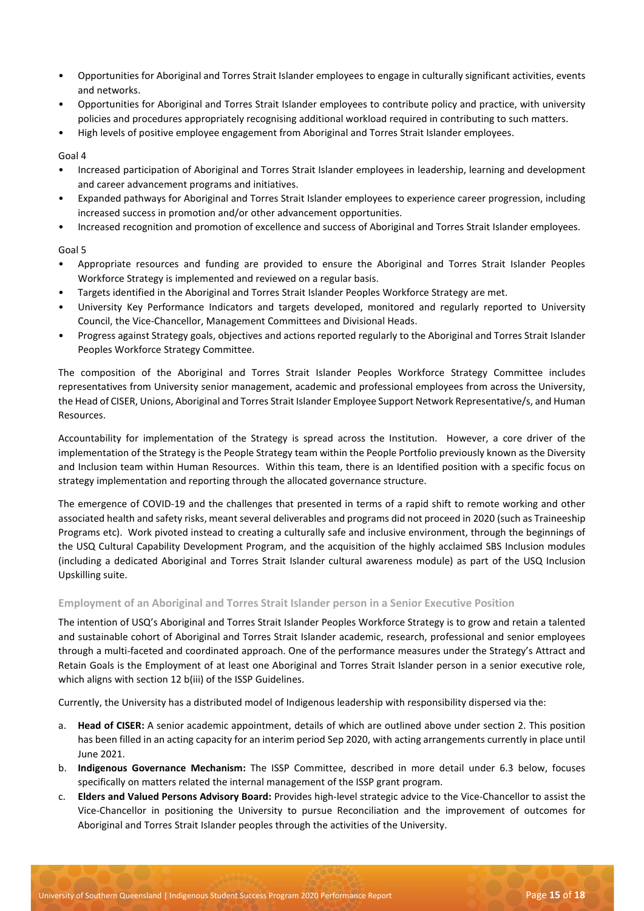- Opportunities for Aboriginal and Torres Strait Islander employees to engage in culturally significant activities, events and networks.
- Opportunities for Aboriginal and Torres Strait Islander employees to contribute policy and practice, with university policies and procedures appropriately recognising additional workload required in contributing to such matters.
- High levels of positive employee engagement from Aboriginal and Torres Strait Islander employees.

Goal 4

- Increased participation of Aboriginal and Torres Strait Islander employees in leadership, learning and development and career advancement programs and initiatives.
- Expanded pathways for Aboriginal and Torres Strait Islander employees to experience career progression, including increased success in promotion and/or other advancement opportunities.
- Increased recognition and promotion of excellence and success of Aboriginal and Torres Strait Islander employees.

Goal 5

- Appropriate resources and funding are provided to ensure the Aboriginal and Torres Strait Islander Peoples Workforce Strategy is implemented and reviewed on a regular basis.
- Targets identified in the Aboriginal and Torres Strait Islander Peoples Workforce Strategy are met.
- University Key Performance Indicators and targets developed, monitored and regularly reported to University Council, the Vice-Chancellor, Management Committees and Divisional Heads.
- Progress against Strategy goals, objectives and actions reported regularly to the Aboriginal and Torres Strait Islander Peoples Workforce Strategy Committee.

The composition of the Aboriginal and Torres Strait Islander Peoples Workforce Strategy Committee includes representatives from University senior management, academic and professional employees from across the University, the Head of CISER, Unions, Aboriginal and Torres Strait Islander Employee Support Network Representative/s, and Human Resources.

Accountability for implementation of the Strategy is spread across the Institution. However, a core driver of the implementation of the Strategy is the People Strategy team within the People Portfolio previously known as the Diversity and Inclusion team within Human Resources. Within this team, there is an Identified position with a specific focus on strategy implementation and reporting through the allocated governance structure.

The emergence of COVID-19 and the challenges that presented in terms of a rapid shift to remote working and other associated health and safety risks, meant several deliverables and programs did not proceed in 2020 (such as Traineeship Programs etc). Work pivoted instead to creating a culturally safe and inclusive environment, through the beginnings of the USQ Cultural Capability Development Program, and the acquisition of the highly acclaimed SBS Inclusion modules (including a dedicated Aboriginal and Torres Strait Islander cultural awareness module) as part of the USQ Inclusion Upskilling suite.

# **Employment of an Aboriginal and Torres Strait Islander person in a Senior Executive Position**

The intention of USQ's Aboriginal and Torres Strait Islander Peoples Workforce Strategy is to grow and retain a talented and sustainable cohort of Aboriginal and Torres Strait Islander academic, research, professional and senior employees through a multi-faceted and coordinated approach. One of the performance measures under the Strategy's Attract and Retain Goals is the Employment of at least one Aboriginal and Torres Strait Islander person in a senior executive role, which aligns with section 12 b(iii) of the ISSP Guidelines.

Currently, the University has a distributed model of Indigenous leadership with responsibility dispersed via the:

- a. **Head of CISER:** A senior academic appointment, details of which are outlined above under section 2. This position has been filled in an acting capacity for an interim period Sep 2020, with acting arrangements currently in place until June 2021.
- b. **Indigenous Governance Mechanism:** The ISSP Committee, described in more detail under 6.3 below, focuses specifically on matters related the internal management of the ISSP grant program.
- c. **Elders and Valued Persons Advisory Board:** Provides high-level strategic advice to the Vice-Chancellor to assist the Vice-Chancellor in positioning the University to pursue Reconciliation and the improvement of outcomes for Aboriginal and Torres Strait Islander peoples through the activities of the University.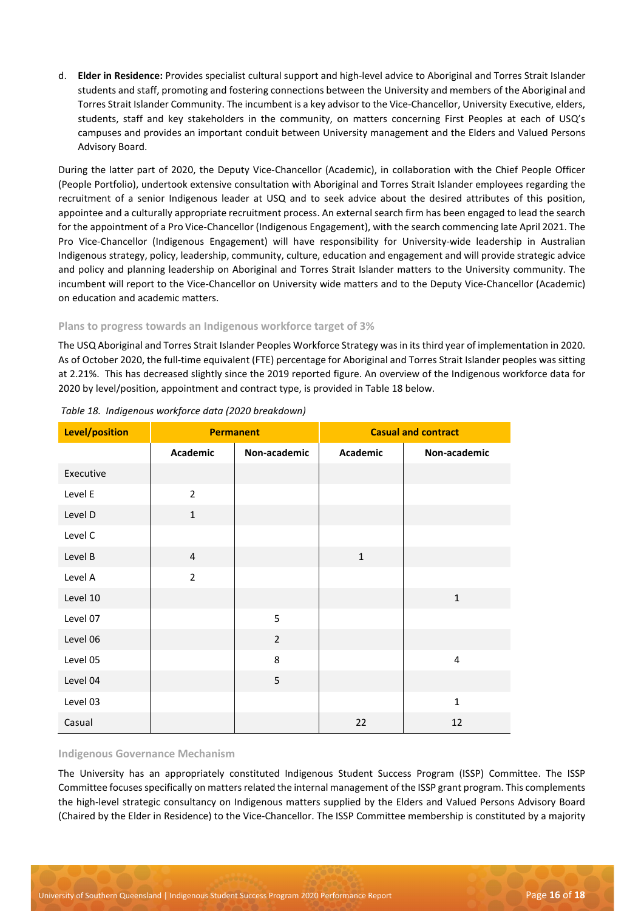d. **Elder in Residence:** Provides specialist cultural support and high-level advice to Aboriginal and Torres Strait Islander students and staff, promoting and fostering connections between the University and members of the Aboriginal and Torres Strait Islander Community. The incumbent is a key advisor to the Vice-Chancellor, University Executive, elders, students, staff and key stakeholders in the community, on matters concerning First Peoples at each of USQ's campuses and provides an important conduit between University management and the Elders and Valued Persons Advisory Board.

During the latter part of 2020, the Deputy Vice-Chancellor (Academic), in collaboration with the Chief People Officer (People Portfolio), undertook extensive consultation with Aboriginal and Torres Strait Islander employees regarding the recruitment of a senior Indigenous leader at USQ and to seek advice about the desired attributes of this position, appointee and a culturally appropriate recruitment process. An external search firm has been engaged to lead the search for the appointment of a Pro Vice-Chancellor (Indigenous Engagement), with the search commencing late April 2021. The Pro Vice-Chancellor (Indigenous Engagement) will have responsibility for University-wide leadership in Australian Indigenous strategy, policy, leadership, community, culture, education and engagement and will provide strategic advice and policy and planning leadership on Aboriginal and Torres Strait Islander matters to the University community. The incumbent will report to the Vice-Chancellor on University wide matters and to the Deputy Vice-Chancellor (Academic) on education and academic matters.

# **Plans to progress towards an Indigenous workforce target of 3%**

The USQ Aboriginal and Torres Strait Islander Peoples Workforce Strategy was in its third year of implementation in 2020. As of October 2020, the full-time equivalent (FTE) percentage for Aboriginal and Torres Strait Islander peoples was sitting at 2.21%. This has decreased slightly since the 2019 reported figure. An overview of the Indigenous workforce data for 2020 by level/position, appointment and contract type, is provided in Table 18 below.

| Level/position | <b>Permanent</b> |                |                 |              |  | <b>Casual and contract</b> |
|----------------|------------------|----------------|-----------------|--------------|--|----------------------------|
|                | Academic         | Non-academic   | <b>Academic</b> | Non-academic |  |                            |
| Executive      |                  |                |                 |              |  |                            |
| Level E        | $\overline{2}$   |                |                 |              |  |                            |
| Level D        | $\mathbf{1}$     |                |                 |              |  |                            |
| Level C        |                  |                |                 |              |  |                            |
| Level B        | $\overline{4}$   |                | $\mathbf{1}$    |              |  |                            |
| Level A        | $\overline{2}$   |                |                 |              |  |                            |
| Level 10       |                  |                |                 | $\mathbf{1}$ |  |                            |
| Level 07       |                  | 5              |                 |              |  |                            |
| Level 06       |                  | $\overline{2}$ |                 |              |  |                            |
| Level 05       |                  | 8              |                 | 4            |  |                            |
| Level 04       |                  | 5              |                 |              |  |                            |
| Level 03       |                  |                |                 | $\mathbf{1}$ |  |                            |
| Casual         |                  |                | 22              | 12           |  |                            |

# *Table 18. Indigenous workforce data (2020 breakdown)*

#### **Indigenous Governance Mechanism**

The University has an appropriately constituted Indigenous Student Success Program (ISSP) Committee. The ISSP Committee focuses specifically on matters related the internal management of the ISSP grant program. This complements the high-level strategic consultancy on Indigenous matters supplied by the Elders and Valued Persons Advisory Board (Chaired by the Elder in Residence) to the Vice-Chancellor. The ISSP Committee membership is constituted by a majority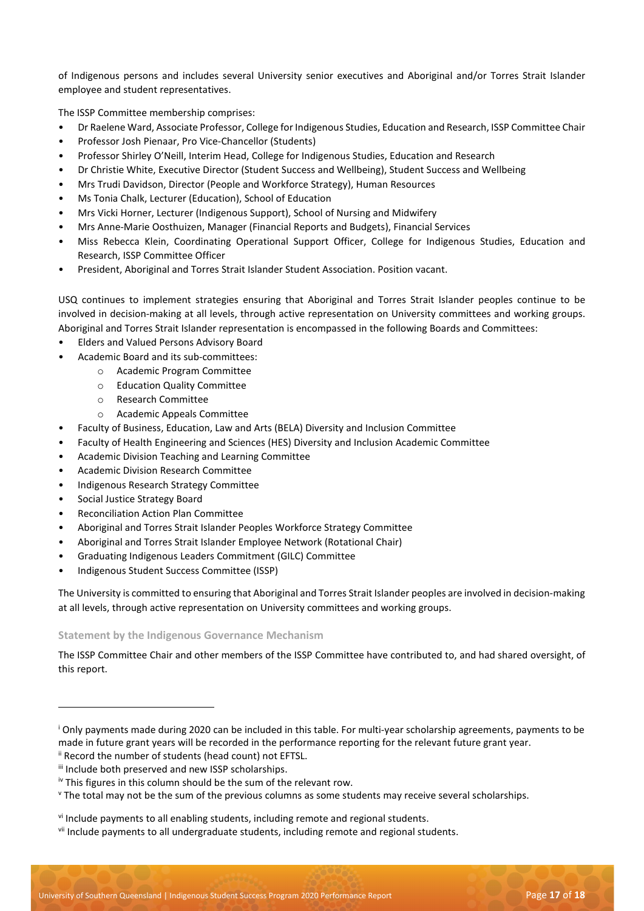of Indigenous persons and includes several University senior executives and Aboriginal and/or Torres Strait Islander employee and student representatives.

The ISSP Committee membership comprises:

- Dr Raelene Ward, Associate Professor, College for Indigenous Studies, Education and Research, ISSP Committee Chair
- Professor Josh Pienaar, Pro Vice-Chancellor (Students)
- Professor Shirley O'Neill, Interim Head, College for Indigenous Studies, Education and Research
- Dr Christie White, Executive Director (Student Success and Wellbeing), Student Success and Wellbeing
- Mrs Trudi Davidson, Director (People and Workforce Strategy), Human Resources
- Ms Tonia Chalk, Lecturer (Education), School of Education
- Mrs Vicki Horner, Lecturer (Indigenous Support), School of Nursing and Midwifery
- Mrs Anne-Marie Oosthuizen, Manager (Financial Reports and Budgets), Financial Services
- Miss Rebecca Klein, Coordinating Operational Support Officer, College for Indigenous Studies, Education and Research, ISSP Committee Officer
- President, Aboriginal and Torres Strait Islander Student Association. Position vacant.

USQ continues to implement strategies ensuring that Aboriginal and Torres Strait Islander peoples continue to be involved in decision-making at all levels, through active representation on University committees and working groups. Aboriginal and Torres Strait Islander representation is encompassed in the following Boards and Committees:

- Elders and Valued Persons Advisory Board
- Academic Board and its sub-committees:
	- o Academic Program Committee
	- o Education Quality Committee
	- o Research Committee
	- o Academic Appeals Committee
- Faculty of Business, Education, Law and Arts (BELA) Diversity and Inclusion Committee
- Faculty of Health Engineering and Sciences (HES) Diversity and Inclusion Academic Committee
- Academic Division Teaching and Learning Committee
- Academic Division Research Committee
- Indigenous Research Strategy Committee
- Social Justice Strategy Board
- Reconciliation Action Plan Committee
- Aboriginal and Torres Strait Islander Peoples Workforce Strategy Committee
- Aboriginal and Torres Strait Islander Employee Network (Rotational Chair)
- Graduating Indigenous Leaders Commitment (GILC) Committee
- Indigenous Student Success Committee (ISSP)

The University is committed to ensuring that Aboriginal and Torres Strait Islander peoples are involved in decision-making at all levels, through active representation on University committees and working groups.

# **Statement by the Indigenous Governance Mechanism**

The ISSP Committee Chair and other members of the ISSP Committee have contributed to, and had shared oversight, of this report.

<sup>&</sup>lt;sup>i</sup> Only payments made during 2020 can be included in this table. For multi-year scholarship agreements, payments to be made in future grant years will be recorded in the performance reporting for the relevant future grant year. ii Record the number of students (head count) not EFTSL.

iii Include both preserved and new ISSP scholarships.

iv This figures in this column should be the sum of the relevant row.

<sup>v</sup> The total may not be the sum of the previous columns as some students may receive several scholarships.

vi Include payments to all enabling students, including remote and regional students.

vii Include payments to all undergraduate students, including remote and regional students.